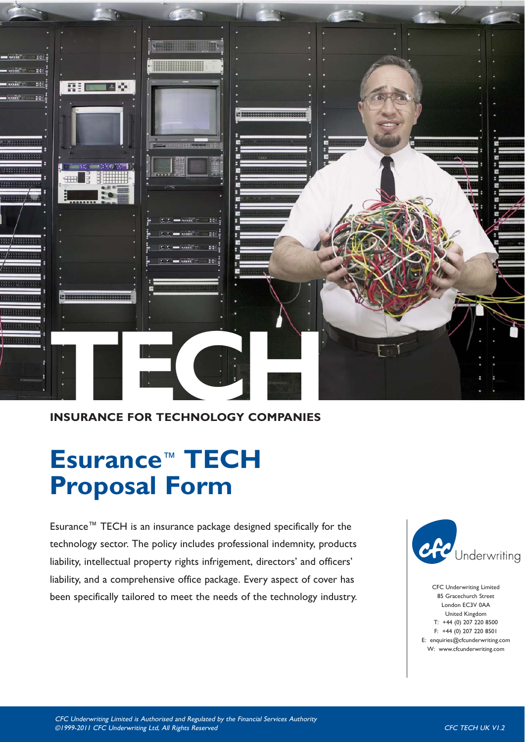

# **INSURANCE FOR TECHNOLOGY COMPANIES**

# **Esurance**™ **TECH Proposal Form**

Esurance™ TECH is an insurance package designed specifically for the technology sector. The policy includes professional indemnity, products liability, intellectual property rights infrigement, directors' and officers' liability, and a comprehensive office package. Every aspect of cover has been specifically tailored to meet the needs of the technology industry.



CFC Underwriting Limited 85 Gracechurch Street London EC3V 0AA United Kingdom T: +44 (0) 207 220 8500 F: +44 (0) 207 220 8501 E: enquiries@cfcunderwriting.com W: www.cfcunderwriting.com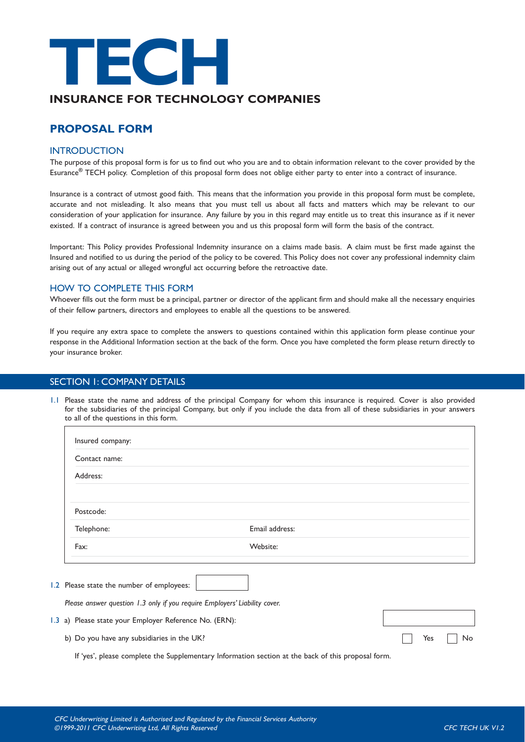

# **INSURANCE FOR TECHNOLOGY COMPANIES**

# **PROPOSAL FORM**

#### **INTRODUCTION**

The purpose of this proposal form is for us to find out who you are and to obtain information relevant to the cover provided by the Esurance**®** TECH policy. Completion of this proposal form does not oblige either party to enter into a contract of insurance.

Insurance is a contract of utmost good faith. This means that the information you provide in this proposal form must be complete, accurate and not misleading. It also means that you must tell us about all facts and matters which may be relevant to our consideration of your application for insurance. Any failure by you in this regard may entitle us to treat this insurance as if it never existed. If a contract of insurance is agreed between you and us this proposal form will form the basis of the contract.

Important: This Policy provides Professional Indemnity insurance on a claims made basis. A claim must be first made against the Insured and notified to us during the period of the policy to be covered. This Policy does not cover any professional indemnity claim arising out of any actual or alleged wrongful act occurring before the retroactive date.

#### HOW TO COMPLETE THIS FORM

Whoever fills out the form must be a principal, partner or director of the applicant firm and should make all the necessary enquiries of their fellow partners, directors and employees to enable all the questions to be answered.

If you require any extra space to complete the answers to questions contained within this application form please continue your response in the Additional Information section at the back of the form. Once you have completed the form please return directly to your insurance broker.

#### SECTION 1: COMPANY DETAILS

1.1 Please state the name and address of the principal Company for whom this insurance is required. Cover is also provided for the subsidiaries of the principal Company, but only if you include the data from all of these subsidiaries in your answers to all of the questions in this form.

| Insured company:                                       |                                                                                                    |           |
|--------------------------------------------------------|----------------------------------------------------------------------------------------------------|-----------|
| Contact name:                                          |                                                                                                    |           |
| Address:                                               |                                                                                                    |           |
|                                                        |                                                                                                    |           |
| Postcode:                                              |                                                                                                    |           |
| Telephone:                                             | Email address:                                                                                     |           |
| Fax:                                                   | Website:                                                                                           |           |
| 1.2 Please state the number of employees:              |                                                                                                    |           |
|                                                        | Please answer question 1.3 only if you require Employers' Liability cover.                         |           |
| 1.3 a) Please state your Employer Reference No. (ERN): |                                                                                                    |           |
| b) Do you have any subsidiaries in the UK?             |                                                                                                    | Yes<br>No |
|                                                        | If 'yes', please complete the Supplementary Information section at the back of this proposal form. |           |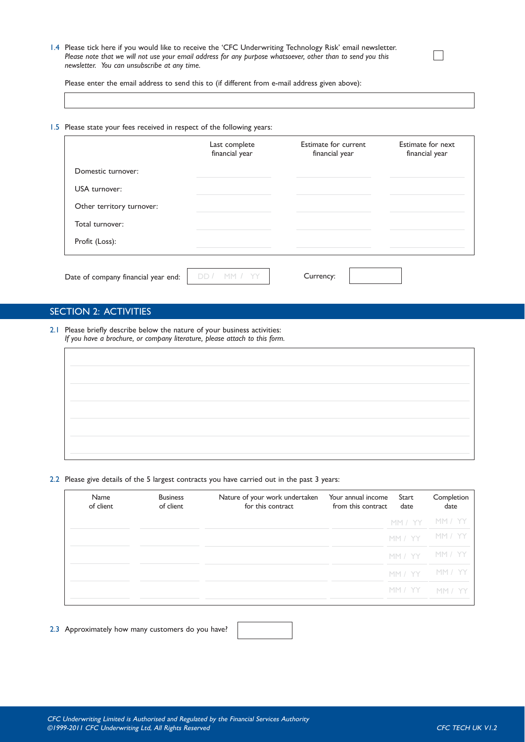1.4 Please tick here if you would like to receive the 'CFC Underwriting Technology Risk' email newsletter. *Please note that we will not use your email address for any purpose whatsoever, other than to send you this newsletter. You can unsubscribe at any time.*

Please enter the email address to send this to (if different from e-mail address given above):

1.5 Please state your fees received in respect of the following years:

|                                     | Last complete<br>financial year | Estimate for current<br>financial year | Estimate for next<br>financial year |
|-------------------------------------|---------------------------------|----------------------------------------|-------------------------------------|
| Domestic turnover:                  |                                 |                                        |                                     |
| USA turnover:                       |                                 |                                        |                                     |
| Other territory turnover:           |                                 |                                        |                                     |
| Total turnover:                     |                                 |                                        |                                     |
| Profit (Loss):                      |                                 |                                        |                                     |
|                                     |                                 |                                        |                                     |
| Date of company financial year end: |                                 | Currency:                              |                                     |

#### SECTION 2: ACTIVITIES

2.1 Please briefly describe below the nature of your business activities: *If you have a brochure, or company literature, please attach to this form.*

#### 2.2 Please give details of the 5 largest contracts you have carried out in the past 3 years:

| Name<br>of client | <b>Business</b><br>of client | Nature of your work undertaken<br>for this contract | Your annual income<br>from this contract | Start<br>date | Completion<br>date |
|-------------------|------------------------------|-----------------------------------------------------|------------------------------------------|---------------|--------------------|
|                   |                              |                                                     |                                          | MM / YY       | <b>MM / YY</b>     |
|                   |                              |                                                     |                                          | MM / YY       | MM / YY            |
|                   |                              |                                                     |                                          | MM / YY       | MM / YY            |
|                   |                              |                                                     |                                          | MM / YY       | <u>mm / Yi</u>     |
|                   |                              |                                                     |                                          | MM / YY       | MM / YY            |

2.3 Approximately how many customers do you have?

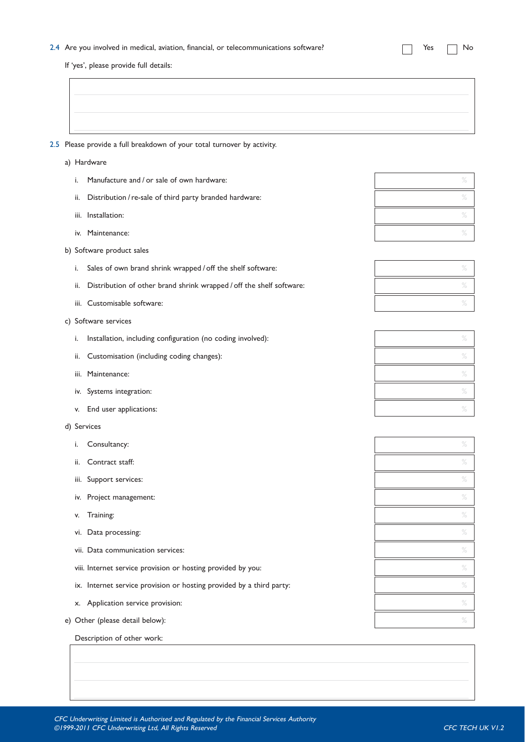#### 2.4 Are you involved in medical, aviation, financial, or telecommunications software?  $\Box$  Yes  $\Box$  No

If 'yes', please provide full details:

#### 2.5 Please provide a full breakdown of your total turnover by activity.

- a) Hardware
	- i. Manufacture and / or sale of own hardware:
	- ii. Distribution / re-sale of third party branded hardware:  $\%$
	- iii. Installation:  $\%$
	- iv. Maintenance:
- b) Software product sales
	- i. Sales of own brand shrink wrapped / off the shelf software:
	- ii. Distribution of other brand shrink wrapped / off the shelf software:
	- iii. Customisable software:  $\%$
- c) Software services
	- i. Installation, including configuration (no coding involved): %
	- ii. Customisation (including coding changes): %
	- iii. Maintenance:  $\%$
	- iv. Systems integration:  $\%$
	- v. End user applications:  $\%$
- d) Services
	- i. Consultancy:  $\%$
	- ii. Contract staff:  $\frac{1}{2}$  states in the state of  $\frac{1}{2}$  states in the state of  $\frac{1}{2}$  states in the state of  $\frac{1}{2}$
	- iii. Support services:  $\%$
	- iv. Project management:  $\%$
	- v. Training:  $\%$
	- vi. Data processing:  $\%$
	- vii. Data communication services:  $\%$
	- viii. Internet service provision or hosting provided by you:  $\%$
	- ix. Internet service provision or hosting provided by a third party:  $\frac{1}{2}$  service provided by a third party:
	- $x.$  Application service provision:  $\%$
- e) Other (please detail below):  $\%$

Description of other work: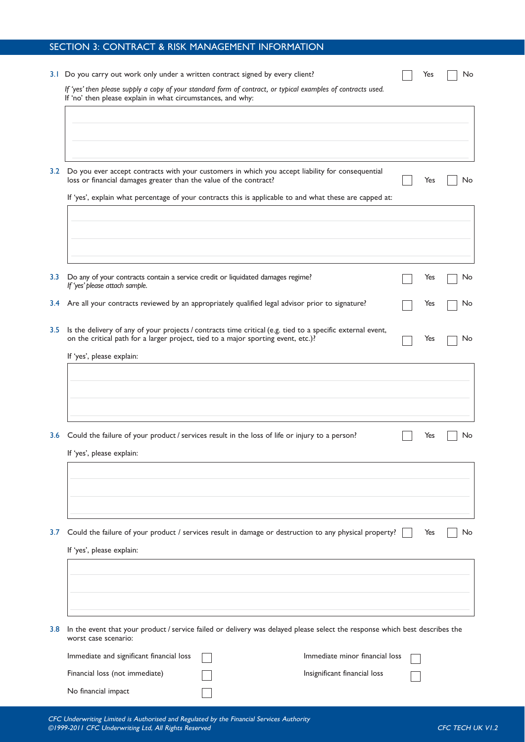|                  | SECTION 3: CONTRACT & RISK MANAGEMENT INFORMATION                                                                                                                                               |                                |     |    |
|------------------|-------------------------------------------------------------------------------------------------------------------------------------------------------------------------------------------------|--------------------------------|-----|----|
|                  | 3.1 Do you carry out work only under a written contract signed by every client?                                                                                                                 |                                | Yes | No |
|                  | If 'yes' then please supply a copy of your standard form of contract, or typical examples of contracts used.<br>If 'no' then please explain in what circumstances, and why:                     |                                |     |    |
|                  |                                                                                                                                                                                                 |                                |     |    |
| 3.2              | Do you ever accept contracts with your customers in which you accept liability for consequential<br>loss or financial damages greater than the value of the contract?                           |                                | Yes | No |
|                  | If 'yes', explain what percentage of your contracts this is applicable to and what these are capped at:                                                                                         |                                |     |    |
|                  |                                                                                                                                                                                                 |                                |     |    |
| 3.3 <sub>2</sub> | Do any of your contracts contain a service credit or liquidated damages regime?<br>If 'yes' please attach sample.                                                                               |                                | Yes | No |
| 3.4              | Are all your contracts reviewed by an appropriately qualified legal advisor prior to signature?                                                                                                 |                                | Yes | No |
| 3.5              | Is the delivery of any of your projects / contracts time critical (e.g. tied to a specific external event,<br>on the critical path for a larger project, tied to a major sporting event, etc.)? |                                | Yes | No |
|                  | If 'yes', please explain:                                                                                                                                                                       |                                |     |    |
|                  |                                                                                                                                                                                                 |                                |     |    |
|                  | 3.6 Could the failure of your product / services result in the loss of life or injury to a person?<br>If 'yes', please explain:                                                                 |                                | Yes | No |
|                  |                                                                                                                                                                                                 |                                |     |    |
| 3.7              | Could the failure of your product / services result in damage or destruction to any physical property?                                                                                          |                                | Yes | No |
|                  | If 'yes', please explain:                                                                                                                                                                       |                                |     |    |
|                  |                                                                                                                                                                                                 |                                |     |    |
| 3.8              | In the event that your product / service failed or delivery was delayed please select the response which best describes the<br>worst case scenario:                                             |                                |     |    |
|                  | Immediate and significant financial loss                                                                                                                                                        | Immediate minor financial loss |     |    |
|                  | Financial loss (not immediate)                                                                                                                                                                  | Insignificant financial loss   |     |    |
|                  | No financial impact                                                                                                                                                                             |                                |     |    |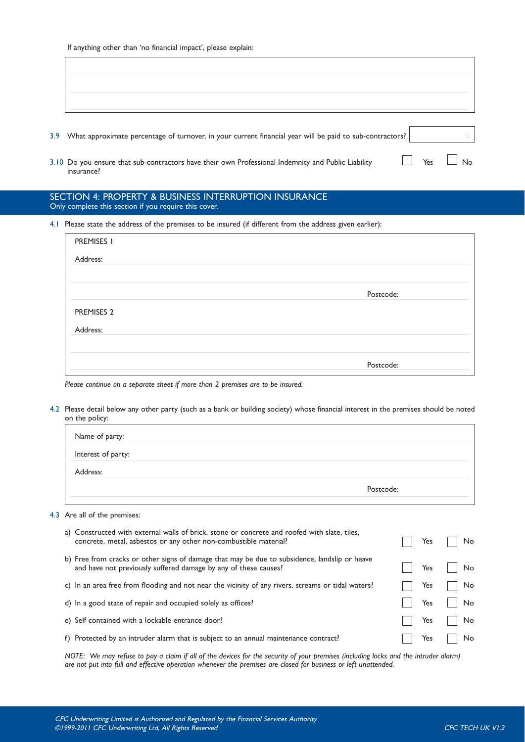| 3.9 What approximate percentage of turnover, in your current financial year will be paid to sub-contractors?     |  |                      |
|------------------------------------------------------------------------------------------------------------------|--|----------------------|
| 3.10 Do you ensure that sub-contractors have their own Professional Indemnity and Public Liability<br>insurance? |  | $\Box$ Yes $\Box$ No |

#### SECTION 4: PROPERTY & BUSINESS INTERRUPTION INSURANCE Only complete this section if you require this cover.

4.1 Please state the address of the premises to be insured (if different from the address given earlier):

| PREMISES I |           |
|------------|-----------|
| Address:   |           |
|            |           |
|            | Postcode: |
| PREMISES 2 |           |
| Address:   |           |
|            |           |
|            | Postcode: |

#### *Please continue on a separate sheet if more than 2 premises are to be insured.*

4.2 Please detail below any other party (such as a bank or building society) whose financial interest in the premises should be noted on the policy:

| Name of party:     |           |
|--------------------|-----------|
| Interest of party: |           |
| Address:           |           |
|                    | Postcode: |
|                    |           |

#### 4.3 Are all of the premises:

| a) Constructed with external walls of brick, stone or concrete and roofed with slate, tiles,                                                                     |     |    |
|------------------------------------------------------------------------------------------------------------------------------------------------------------------|-----|----|
| concrete, metal, asbestos or any other non-combustible material?                                                                                                 | Yes | No |
| b) Free from cracks or other signs of damage that may be due to subsidence, landslip or heave<br>and have not previously suffered damage by any of these causes? | Yes | No |
| c) In an area free from flooding and not near the vicinity of any rivers, streams or tidal waters?                                                               | Yes | No |
| d) In a good state of repair and occupied solely as offices?                                                                                                     | Yes | No |
| e) Self contained with a lockable entrance door?                                                                                                                 | Yes | No |
| f) Protected by an intruder alarm that is subject to an annual maintenance contract?                                                                             | Yes | No |

*NOTE: We may refuse to pay a claim if all of the devices for the security of your premises (including locks and the intruder alarm) are not put into full and effective operation whenever the premises are closed for business or left unattended.*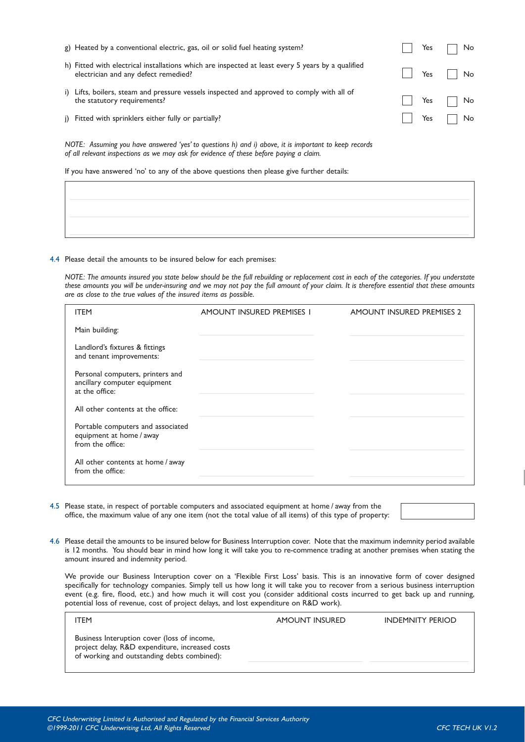| j) Fitted with sprinklers either fully or partially?                                                                                                                                           | Yes |  |
|------------------------------------------------------------------------------------------------------------------------------------------------------------------------------------------------|-----|--|
| NOTE: Assuming you have answered 'yes' to questions h) and i) above, it is important to keep records<br>of all relevant inspections as we may ask for evidence of these before paying a claim. |     |  |
| If you have answered 'no' to any of the above questions then please give further details:                                                                                                      |     |  |
|                                                                                                                                                                                                |     |  |
|                                                                                                                                                                                                |     |  |
|                                                                                                                                                                                                |     |  |

g) Heated by a conventional electric, gas, oil or solid fuel heating system?  $\Box$  Yes  $\Box$  No

electrician and any defect remedied? The Contraction of the Contraction of the Vest No. No. 1996. The No

the statutory requirements? The statutory requirements?

h) Fitted with electrical installations which are inspected at least every 5 years by a qualified

i) Lifts, boilers, steam and pressure vessels inspected and approved to comply with all of

#### 4.4 Please detail the amounts to be insured below for each premises:

*NOTE: The amounts insured you state below should be the full rebuilding or replacement cost in each of the categories. If you understate these amounts you will be under-insuring and we may not pay the full amount of your claim. It is therefore essential that these amounts are as close to the true values of the insured items as possible.*

| <b>ITEM</b>                                                                        | AMOUNT INSURED PREMISES I | <b>AMOUNT INSURED PREMISES 2</b> |
|------------------------------------------------------------------------------------|---------------------------|----------------------------------|
| Main building:                                                                     |                           |                                  |
| Landlord's fixtures & fittings<br>and tenant improvements:                         |                           |                                  |
| Personal computers, printers and<br>ancillary computer equipment<br>at the office: |                           |                                  |
| All other contents at the office:                                                  |                           |                                  |
| Portable computers and associated<br>equipment at home / away<br>from the office:  |                           |                                  |
| All other contents at home / away<br>from the office:                              |                           |                                  |

4.5 Please state, in respect of portable computers and associated equipment at home / away from the office, the maximum value of any one item (not the total value of all items) of this type of property:

4.6 Please detail the amounts to be insured below for Business Interruption cover. Note that the maximum indemnity period available is 12 months. You should bear in mind how long it will take you to re-commence trading at another premises when stating the amount insured and indemnity period.

We provide our Business Interuption cover on a 'Flexible First Loss' basis. This is an innovative form of cover designed specifically for technology companies. Simply tell us how long it will take you to recover from a serious business interruption event (e.g. fire, flood, etc.) and how much it will cost you (consider additional costs incurred to get back up and running, potential loss of revenue, cost of project delays, and lost expenditure on R&D work).

| <b>ITEM</b>                                                                                                                                   | AMOUNT INSURED | <b>INDEMNITY PERIOD</b> |
|-----------------------------------------------------------------------------------------------------------------------------------------------|----------------|-------------------------|
| Business Interuption cover (loss of income,<br>project delay, R&D expenditure, increased costs<br>of working and outstanding debts combined): |                |                         |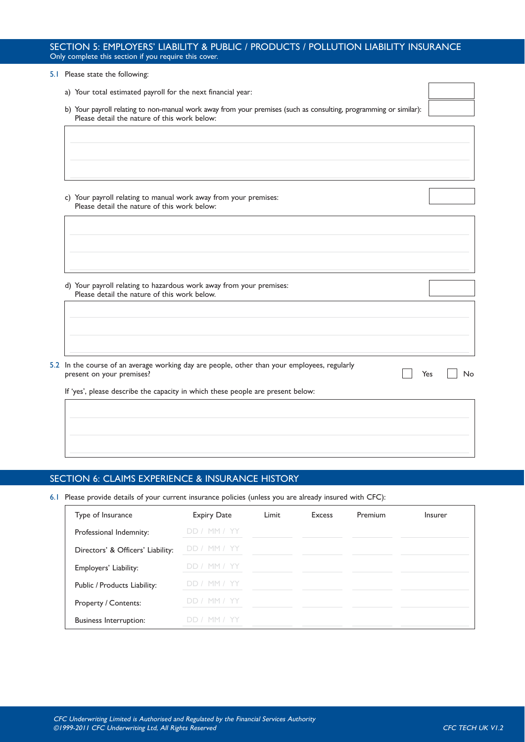#### SECTION 5: EMPLOYERS' LIABILITY & PUBLIC / PRODUCTS / POLLUTION LIABILITY INSURANCE Only complete this section if you require this cover.

| 5.1 Please state the following:                                                                                                                                   |           |
|-------------------------------------------------------------------------------------------------------------------------------------------------------------------|-----------|
| a) Your total estimated payroll for the next financial year:                                                                                                      |           |
| b) Your payroll relating to non-manual work away from your premises (such as consulting, programming or similar):<br>Please detail the nature of this work below: |           |
|                                                                                                                                                                   |           |
|                                                                                                                                                                   |           |
|                                                                                                                                                                   |           |
|                                                                                                                                                                   |           |
| c) Your payroll relating to manual work away from your premises:<br>Please detail the nature of this work below:                                                  |           |
|                                                                                                                                                                   |           |
|                                                                                                                                                                   |           |
|                                                                                                                                                                   |           |
|                                                                                                                                                                   |           |
| d) Your payroll relating to hazardous work away from your premises:<br>Please detail the nature of this work below.                                               |           |
|                                                                                                                                                                   |           |
|                                                                                                                                                                   |           |
|                                                                                                                                                                   |           |
| 5.2 In the course of an average working day are people, other than your employees, regularly<br>present on your premises?                                         | No<br>Yes |
| If 'yes', please describe the capacity in which these people are present below:                                                                                   |           |
|                                                                                                                                                                   |           |
|                                                                                                                                                                   |           |

### SECTION 6: CLAIMS EXPERIENCE & INSURANCE HISTORY

#### 6.1 Please provide details of your current insurance policies (unless you are already insured with CFC):

| Type of Insurance                 | <b>Expiry Date</b> | Limit | Excess | Premium | Insurer |
|-----------------------------------|--------------------|-------|--------|---------|---------|
| Professional Indemnity:           | DD / MM / YY       |       |        |         |         |
| Directors' & Officers' Liability: | DD / MM / YY       |       |        |         |         |
| Employers' Liability:             | DD / MM / YY       |       |        |         |         |
| Public / Products Liability:      | DD / MM / YY       |       |        |         |         |
| Property / Contents:              | DD / MM / YY       |       |        |         |         |
| <b>Business Interruption:</b>     | DD / MM / YY       |       |        |         |         |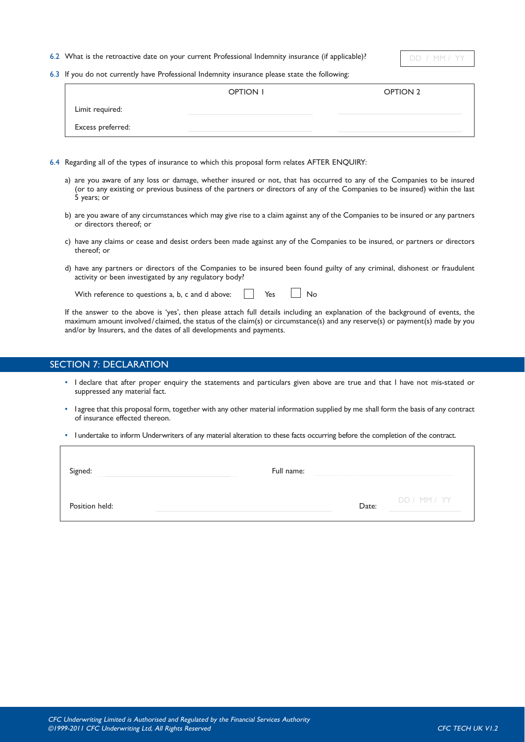6.2 What is the retroactive date on your current Professional Indemnity insurance (if applicable)?

 $DD / MM /$ 

6.3 If you do not currently have Professional Indemnity insurance please state the following:

|                   | OPTION I | OPTION 2 |
|-------------------|----------|----------|
| Limit required:   |          |          |
| Excess preferred: |          |          |

- 6.4 Regarding all of the types of insurance to which this proposal form relates AFTER ENQUIRY:
	- a) are you aware of any loss or damage, whether insured or not, that has occurred to any of the Companies to be insured (or to any existing or previous business of the partners or directors of any of the Companies to be insured) within the last 5 years; or
	- b) are you aware of any circumstances which may give rise to a claim against any of the Companies to be insured or any partners or directors thereof; or
	- c) have any claims or cease and desist orders been made against any of the Companies to be insured, or partners or directors thereof; or
	- d) have any partners or directors of the Companies to be insured been found guilty of any criminal, dishonest or fraudulent activity or been investigated by any regulatory body?

With reference to questions a, b, c and d above:  $\Box$  Yes  $\Box$  No

If the answer to the above is 'yes', then please attach full details including an explanation of the background of events, the maximum amount involved/claimed, the status of the claim(s) or circumstance(s) and any reserve(s) or payment(s) made by you and/or by Insurers, and the dates of all developments and payments.

#### SECTION 7: DECLARATION

- I declare that after proper enquiry the statements and particulars given above are true and that I have not mis-stated or suppressed any material fact.
- Iagree that this proposal form, together with any other material information supplied by me shall form the basis of any contract of insurance effected thereon.
- I undertake to inform Underwriters of any material alteration to these facts occurring before the completion of the contract.

Signed: Full name:

Position held: Date: Date: Date: Date: Date: Date: Date: Date: Date: Date: Date: Date: Date: Date: Date: Date: Date: Date: Date: Date: Date: Date: Date: Date: Date: Date: Date: Date: Date: Date: Date: Date: Date: Date: Dat

DD / MM / YY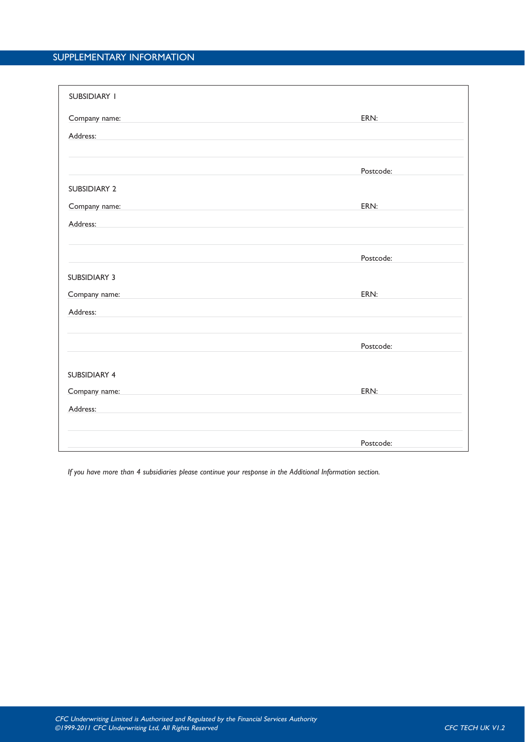## SUPPLEMENTARY INFORMATION

| <b>SUBSIDIARY I</b> |           |
|---------------------|-----------|
| Company name:       | ERN:      |
| Address:            |           |
|                     |           |
|                     |           |
|                     | Postcode: |
| <b>SUBSIDIARY 2</b> |           |
| Company name:       | ERN:      |
| Address:            |           |
|                     |           |
|                     |           |
|                     | Postcode: |
| <b>SUBSIDIARY 3</b> |           |
| Company name:       | ERN:      |
| Address:            |           |
|                     |           |
|                     | Postcode: |
|                     |           |
| <b>SUBSIDIARY 4</b> |           |
|                     |           |
| Company name:       | ERN:      |
| Address:            |           |
|                     |           |
|                     | Postcode: |
|                     |           |

*If you have more than 4 subsidiaries please continue your response in the Additional Information section.*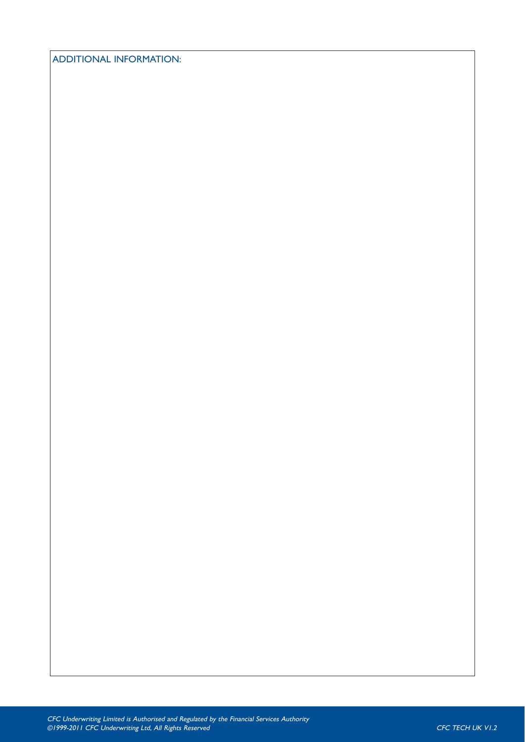ADDITIONAL INFORMATION: